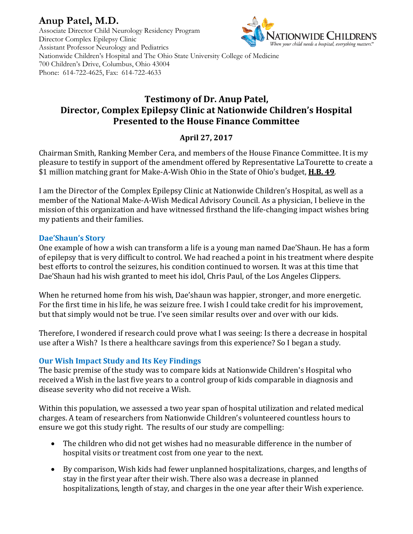# **Anup Patel, M.D.**



Associate Director Child Neurology Residency Program Director Complex Epilepsy Clinic Assistant Professor Neurology and Pediatrics Nationwide Children's Hospital and The Ohio State University College of Medicine 700 Children's Drive, Columbus, Ohio 43004 Phone: 614-722-4625, Fax: 614-722-4633

# **Testimony of Dr. Anup Patel, Director, Complex Epilepsy Clinic at Nationwide Children's Hospital Presented to the House Finance Committee**

## **April 27, 2017**

Chairman Smith, Ranking Member Cera, and members of the House Finance Committee. It is my pleasure to testify in support of the amendment offered by Representative LaTourette to create a \$1 million matching grant for Make-A-Wish Ohio in the State of Ohio's budget, **H.B. 49**.

I am the Director of the Complex Epilepsy Clinic at Nationwide Children's Hospital, as well as a member of the National Make-A-Wish Medical Advisory Council. As a physician, I believe in the mission of this organization and have witnessed firsthand the life-changing impact wishes bring my patients and their families.

#### **Dae'Shaun's Story**

One example of how a wish can transform a life is a young man named Dae'Shaun. He has a form of epilepsy that is very difficult to control. We had reached a point in his treatment where despite best efforts to control the seizures, his condition continued to worsen. It was at this time that Dae'Shaun had his wish granted to meet his idol, Chris Paul, of the Los Angeles Clippers.

When he returned home from his wish, Dae'shaun was happier, stronger, and more energetic. For the first time in his life, he was seizure free. I wish I could take credit for his improvement, but that simply would not be true. I've seen similar results over and over with our kids.

Therefore, I wondered if research could prove what I was seeing: Is there a decrease in hospital use after a Wish? Is there a healthcare savings from this experience? So I began a study.

#### **Our Wish Impact Study and Its Key Findings**

The basic premise of the study was to compare kids at Nationwide Children's Hospital who received a Wish in the last five years to a control group of kids comparable in diagnosis and disease severity who did not receive a Wish.

Within this population, we assessed a two year span of hospital utilization and related medical charges. A team of researchers from Nationwide Children's volunteered countless hours to ensure we got this study right. The results of our study are compelling:

- The children who did not get wishes had no measurable difference in the number of hospital visits or treatment cost from one year to the next.
- By comparison, Wish kids had fewer unplanned hospitalizations, charges, and lengths of stay in the first year after their wish. There also was a decrease in planned hospitalizations, length of stay, and charges in the one year after their Wish experience.